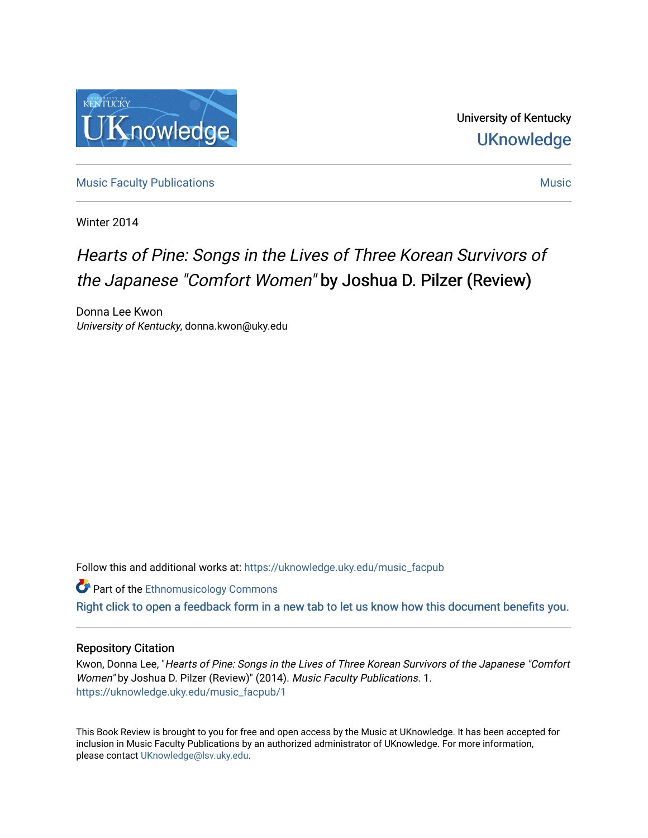

University of Kentucky **UKnowledge** 

[Music Faculty Publications](https://uknowledge.uky.edu/music_facpub) **[Music](https://uknowledge.uky.edu/music) Server Australian Control** Music Music Music Music Music Music Music Music Music

Winter 2014

# Hearts of Pine: Songs in the Lives of Three Korean Survivors of the Japanese "Comfort Women" by Joshua D. Pilzer (Review)

Donna Lee Kwon University of Kentucky, donna.kwon@uky.edu

Follow this and additional works at: [https://uknowledge.uky.edu/music\\_facpub](https://uknowledge.uky.edu/music_facpub?utm_source=uknowledge.uky.edu%2Fmusic_facpub%2F1&utm_medium=PDF&utm_campaign=PDFCoverPages) 

**Part of the Ethnomusicology Commons** 

[Right click to open a feedback form in a new tab to let us know how this document benefits you.](https://uky.az1.qualtrics.com/jfe/form/SV_9mq8fx2GnONRfz7)

#### Repository Citation

Kwon, Donna Lee, "Hearts of Pine: Songs in the Lives of Three Korean Survivors of the Japanese "Comfort Women" by Joshua D. Pilzer (Review)" (2014). Music Faculty Publications. 1. [https://uknowledge.uky.edu/music\\_facpub/1](https://uknowledge.uky.edu/music_facpub/1?utm_source=uknowledge.uky.edu%2Fmusic_facpub%2F1&utm_medium=PDF&utm_campaign=PDFCoverPages) 

This Book Review is brought to you for free and open access by the Music at UKnowledge. It has been accepted for inclusion in Music Faculty Publications by an authorized administrator of UKnowledge. For more information, please contact [UKnowledge@lsv.uky.edu.](mailto:UKnowledge@lsv.uky.edu)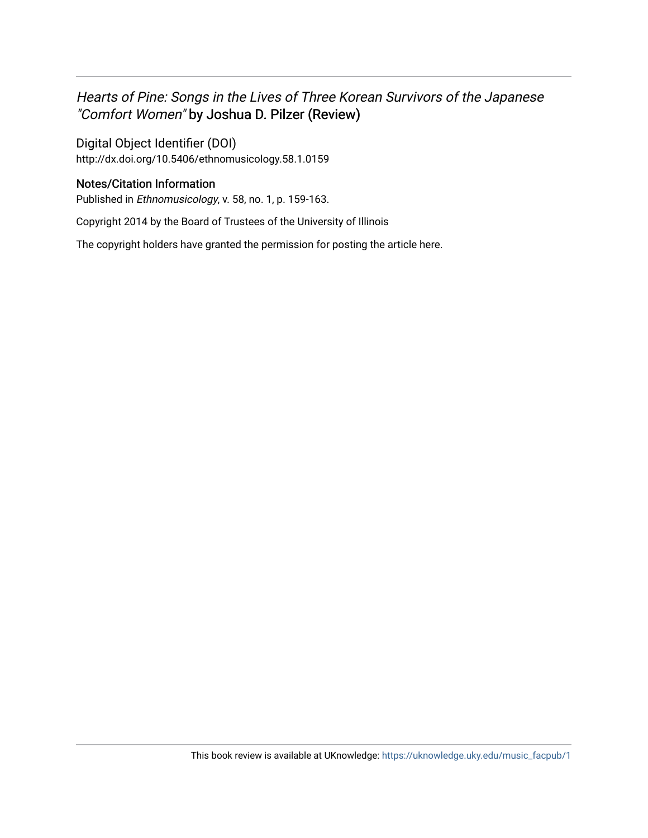## Hearts of Pine: Songs in the Lives of Three Korean Survivors of the Japanese "Comfort Women" by Joshua D. Pilzer (Review)

Digital Object Identifier (DOI) http://dx.doi.org/10.5406/ethnomusicology.58.1.0159

#### Notes/Citation Information

Published in Ethnomusicology, v. 58, no. 1, p. 159-163.

Copyright 2014 by the Board of Trustees of the University of Illinois

The copyright holders have granted the permission for posting the article here.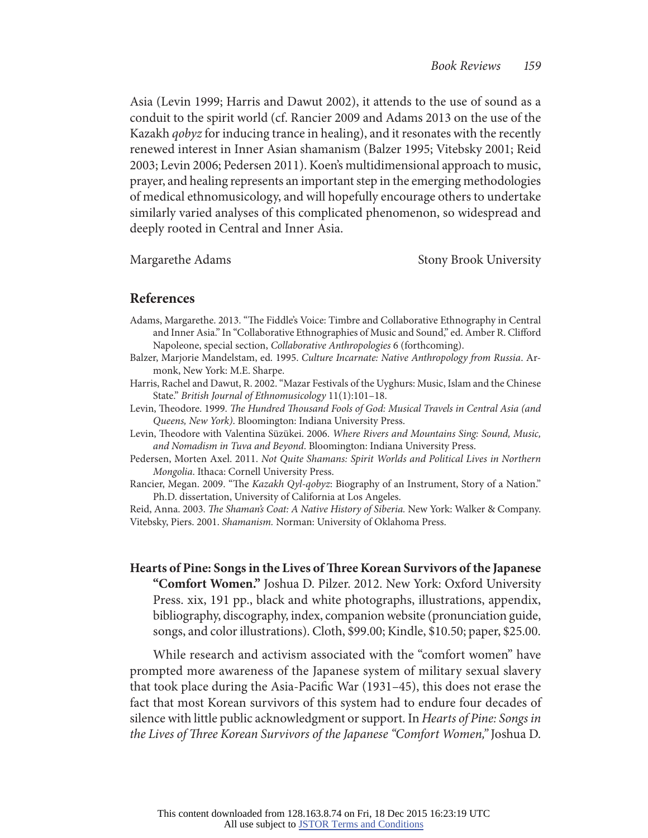Asia (Levin 1999; Harris and Dawut 2002), it attends to the use of sound as a conduit to the spirit world (cf. Rancier 2009 and Adams 2013 on the use of the Kazakh *qobyz* for inducing trance in healing), and it resonates with the recently renewed interest in Inner Asian shamanism (Balzer 1995; Vitebsky 2001; Reid 2003; Levin 2006; Pedersen 2011). Koen's multidimensional approach to music, prayer, and healing represents an important step in the emerging methodologies of medical ethnomusicology, and will hopefully encourage others to undertake similarly varied analyses of this complicated phenomenon, so widespread and deeply rooted in Central and Inner Asia.

Margarethe Adams Stony Brook University

### **References**

Adams, Margarethe. 2013. "The Fiddle's Voice: Timbre and Collaborative Ethnography in Central and Inner Asia." In "Collaborative Ethnographies of Music and Sound," ed. Amber R. Clifford Napoleone, special section, *Collaborative Anthropologies* 6 (forthcoming).

Balzer, Marjorie Mandelstam, ed. 1995. *Culture Incarnate: Native Anthropology from Russia*. Armonk, New York: M.E. Sharpe.

- Harris, Rachel and Dawut, R. 2002. "Mazar Festivals of the Uyghurs: Music, Islam and the Chinese State." *British Journal of Ethnomusicology* 11(1):101–18.
- Levin, Theodore. 1999. *The Hundred Thousand Fools of God: Musical Travels in Central Asia (and Queens, New York)*. Bloomington: Indiana University Press.
- Levin, Theodore with Valentina Süzükei. 2006. *Where Rivers and Mountains Sing: Sound, Music, and Nomadism in Tuva and Beyond*. Bloomington: Indiana University Press.
- Pedersen, Morten Axel. 2011. *Not Quite Shamans: Spirit Worlds and Political Lives in Northern Mongolia*. Ithaca: Cornell University Press.
- Rancier, Megan. 2009. "The *Kazakh Qyl-qobyz*: Biography of an Instrument, Story of a Nation." Ph.D. dissertation, University of California at Los Angeles.

Reid, Anna. 2003. *The Shaman's Coat: A Native History of Siberia.* New York: Walker & Company. Vitebsky, Piers. 2001. *Shamanism.* Norman: University of Oklahoma Press.

**Hearts of Pine: Songs in the Lives of Three Korean Survivors of the Japanese "Comfort Women."** Joshua D. Pilzer. 2012. New York: Oxford University Press. xix, 191 pp., black and white photographs, illustrations, appendix, bibliography, discography, index, companion website (pronunciation guide, songs, and color illustrations). Cloth, \$99.00; Kindle, \$10.50; paper, \$25.00.

 While research and activism associated with the "comfort women" have prompted more awareness of the Japanese system of military sexual slavery that took place during the Asia-Pacific War (1931–45), this does not erase the fact that most Korean survivors of this system had to endure four decades of silence with little public acknowledgment or support. In *Hearts of Pine: Songs in the Lives of Three Korean Survivors of the Japanese "Comfort Women,"* Joshua D.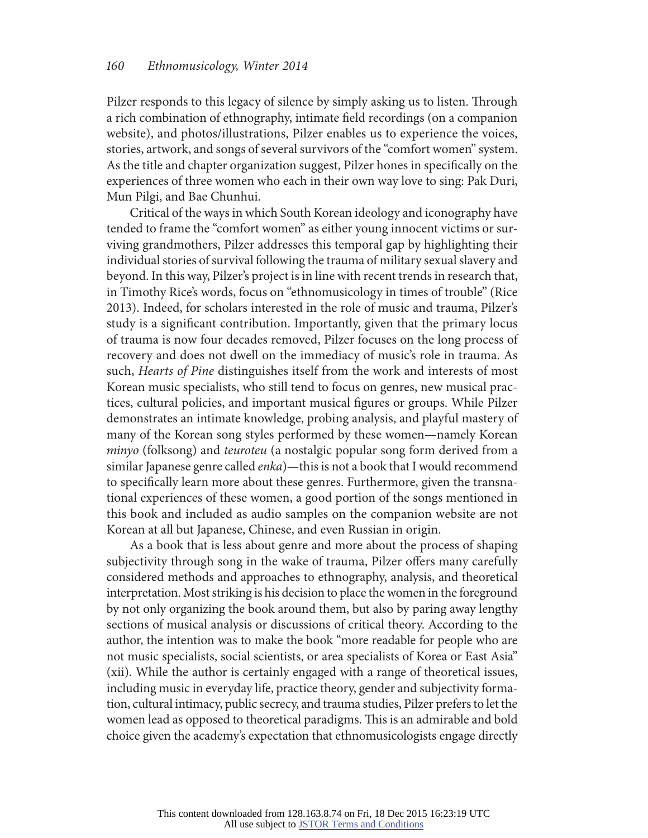Pilzer responds to this legacy of silence by simply asking us to listen. Through a rich combination of ethnography, intimate field recordings (on a companion website), and photos/illustrations, Pilzer enables us to experience the voices, stories, artwork, and songs of several survivors of the "comfort women" system. As the title and chapter organization suggest, Pilzer hones in specifically on the experiences of three women who each in their own way love to sing: Pak Duri, Mun Pilgi, and Bae Chunhui.

 Critical of the ways in which South Korean ideology and iconography have tended to frame the "comfort women" as either young innocent victims or surviving grandmothers, Pilzer addresses this temporal gap by highlighting their individual stories of survival following the trauma of military sexual slavery and beyond. In this way, Pilzer's project is in line with recent trends in research that, in Timothy Rice's words, focus on "ethnomusicology in times of trouble" (Rice 2013). Indeed, for scholars interested in the role of music and trauma, Pilzer's study is a significant contribution. Importantly, given that the primary locus of trauma is now four decades removed, Pilzer focuses on the long process of recovery and does not dwell on the immediacy of music's role in trauma. As such, *Hearts of Pine* distinguishes itself from the work and interests of most Korean music specialists, who still tend to focus on genres, new musical practices, cultural policies, and important musical figures or groups. While Pilzer demonstrates an intimate knowledge, probing analysis, and playful mastery of many of the Korean song styles performed by these women—namely Korean *minyo* (folksong) and *teuroteu* (a nostalgic popular song form derived from a similar Japanese genre called *enka*)—this is not a book that I would recommend to specifically learn more about these genres. Furthermore, given the transnational experiences of these women, a good portion of the songs mentioned in this book and included as audio samples on the companion website are not Korean at all but Japanese, Chinese, and even Russian in origin.

 As a book that is less about genre and more about the process of shaping subjectivity through song in the wake of trauma, Pilzer offers many carefully considered methods and approaches to ethnography, analysis, and theoretical interpretation. Most striking is his decision to place the women in the foreground by not only organizing the book around them, but also by paring away lengthy sections of musical analysis or discussions of critical theory. According to the author, the intention was to make the book "more readable for people who are not music specialists, social scientists, or area specialists of Korea or East Asia" (xii). While the author is certainly engaged with a range of theoretical issues, including music in everyday life, practice theory, gender and subjectivity formation, cultural intimacy, public secrecy, and trauma studies, Pilzer prefers to let the women lead as opposed to theoretical paradigms. This is an admirable and bold choice given the academy's expectation that ethnomusicologists engage directly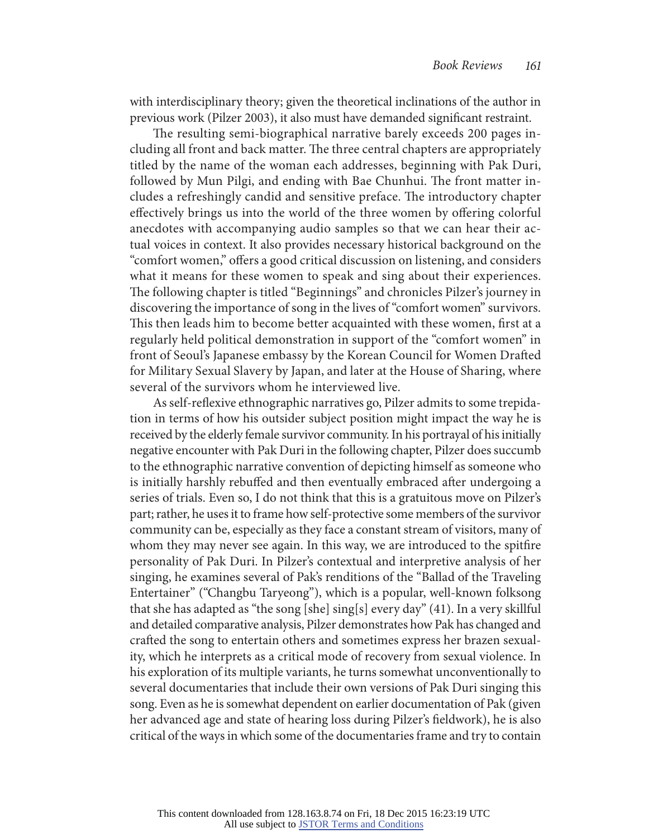with interdisciplinary theory; given the theoretical inclinations of the author in previous work (Pilzer 2003), it also must have demanded significant restraint.

 The resulting semi-biographical narrative barely exceeds 200 pages including all front and back matter. The three central chapters are appropriately titled by the name of the woman each addresses, beginning with Pak Duri, followed by Mun Pilgi, and ending with Bae Chunhui. The front matter includes a refreshingly candid and sensitive preface. The introductory chapter effectively brings us into the world of the three women by offering colorful anecdotes with accompanying audio samples so that we can hear their actual voices in context. It also provides necessary historical background on the "comfort women," offers a good critical discussion on listening, and considers what it means for these women to speak and sing about their experiences. The following chapter is titled "Beginnings" and chronicles Pilzer's journey in discovering the importance of song in the lives of "comfort women" survivors. This then leads him to become better acquainted with these women, first at a regularly held political demonstration in support of the "comfort women" in front of Seoul's Japanese embassy by the Korean Council for Women Drafted for Military Sexual Slavery by Japan, and later at the House of Sharing, where several of the survivors whom he interviewed live.

 As self-reflexive ethnographic narratives go, Pilzer admits to some trepidation in terms of how his outsider subject position might impact the way he is received by the elderly female survivor community. In his portrayal of his initially negative encounter with Pak Duri in the following chapter, Pilzer does succumb to the ethnographic narrative convention of depicting himself as someone who is initially harshly rebuffed and then eventually embraced after undergoing a series of trials. Even so, I do not think that this is a gratuitous move on Pilzer's part; rather, he uses it to frame how self-protective some members of the survivor community can be, especially as they face a constant stream of visitors, many of whom they may never see again. In this way, we are introduced to the spitfire personality of Pak Duri. In Pilzer's contextual and interpretive analysis of her singing, he examines several of Pak's renditions of the "Ballad of the Traveling Entertainer" ("Changbu Taryeong"), which is a popular, well-known folksong that she has adapted as "the song [she] sing[s] every day" (41). In a very skillful and detailed comparative analysis, Pilzer demonstrates how Pak has changed and crafted the song to entertain others and sometimes express her brazen sexuality, which he interprets as a critical mode of recovery from sexual violence. In his exploration of its multiple variants, he turns somewhat unconventionally to several documentaries that include their own versions of Pak Duri singing this song. Even as he is somewhat dependent on earlier documentation of Pak (given her advanced age and state of hearing loss during Pilzer's fieldwork), he is also critical of the ways in which some of the documentaries frame and try to contain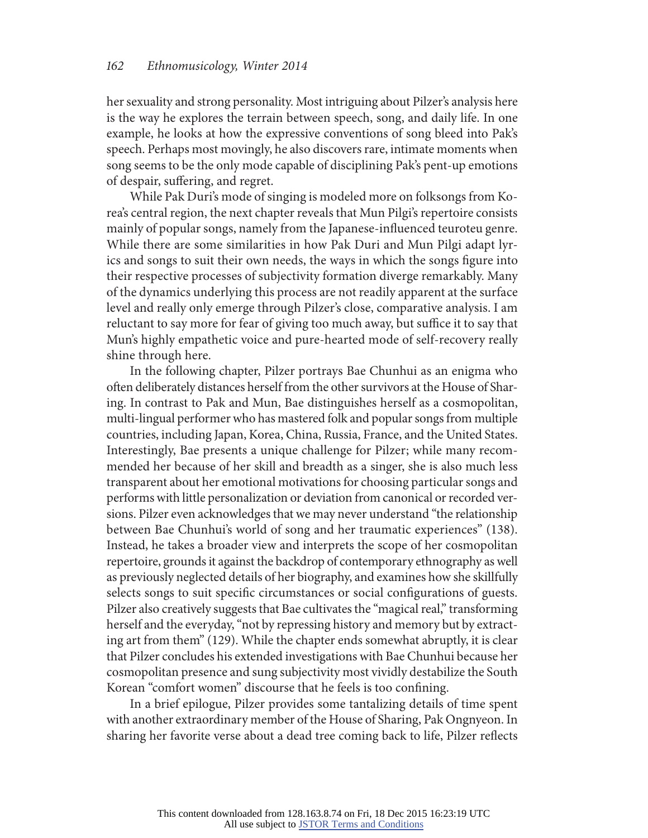her sexuality and strong personality. Most intriguing about Pilzer's analysis here is the way he explores the terrain between speech, song, and daily life. In one example, he looks at how the expressive conventions of song bleed into Pak's speech. Perhaps most movingly, he also discovers rare, intimate moments when song seems to be the only mode capable of disciplining Pak's pent-up emotions of despair, suffering, and regret.

 While Pak Duri's mode of singing is modeled more on folksongs from Korea's central region, the next chapter reveals that Mun Pilgi's repertoire consists mainly of popular songs, namely from the Japanese-influenced teuroteu genre. While there are some similarities in how Pak Duri and Mun Pilgi adapt lyrics and songs to suit their own needs, the ways in which the songs figure into their respective processes of subjectivity formation diverge remarkably. Many of the dynamics underlying this process are not readily apparent at the surface level and really only emerge through Pilzer's close, comparative analysis. I am reluctant to say more for fear of giving too much away, but suffice it to say that Mun's highly empathetic voice and pure-hearted mode of self-recovery really shine through here.

 In the following chapter, Pilzer portrays Bae Chunhui as an enigma who often deliberately distances herself from the other survivors at the House of Sharing. In contrast to Pak and Mun, Bae distinguishes herself as a cosmopolitan, multi-lingual performer who has mastered folk and popular songs from multiple countries, including Japan, Korea, China, Russia, France, and the United States. Interestingly, Bae presents a unique challenge for Pilzer; while many recommended her because of her skill and breadth as a singer, she is also much less transparent about her emotional motivations for choosing particular songs and performs with little personalization or deviation from canonical or recorded versions. Pilzer even acknowledges that we may never understand "the relationship between Bae Chunhui's world of song and her traumatic experiences" (138). Instead, he takes a broader view and interprets the scope of her cosmopolitan repertoire, grounds it against the backdrop of contemporary ethnography as well as previously neglected details of her biography, and examines how she skillfully selects songs to suit specific circumstances or social configurations of guests. Pilzer also creatively suggests that Bae cultivates the "magical real," transforming herself and the everyday, "not by repressing history and memory but by extracting art from them" (129). While the chapter ends somewhat abruptly, it is clear that Pilzer concludes his extended investigations with Bae Chunhui because her cosmopolitan presence and sung subjectivity most vividly destabilize the South Korean "comfort women" discourse that he feels is too confining.

 In a brief epilogue, Pilzer provides some tantalizing details of time spent with another extraordinary member of the House of Sharing, Pak Ongnyeon. In sharing her favorite verse about a dead tree coming back to life, Pilzer reflects